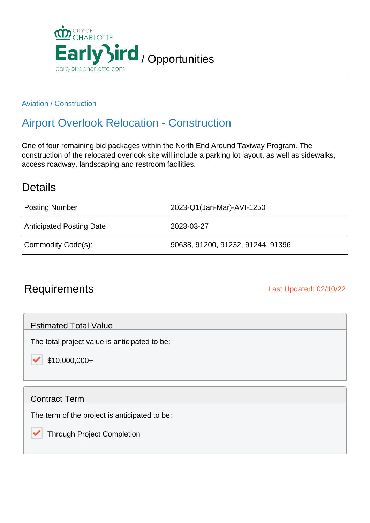

#### Aviation / Construction

# Airport Overlook Relocation - Construction

One of four remaining bid packages within the North End Around Taxiway Program. The construction of the relocated overlook site will include a parking lot layout, as well as sidewalks, access roadway, landscaping and restroom facilities.

### **Details**

| <b>Posting Number</b>           | 2023-Q1(Jan-Mar)-AVI-1250         |
|---------------------------------|-----------------------------------|
| <b>Anticipated Posting Date</b> | 2023-03-27                        |
| Commodity Code(s):              | 90638, 91200, 91232, 91244, 91396 |

## Requirements **Last Updated: 02/10/22**

Estimated Total Value

The total project value is anticipated to be:

\$10,000,000+

#### Contract Term

The term of the project is anticipated to be:

 Through Project Completion✓